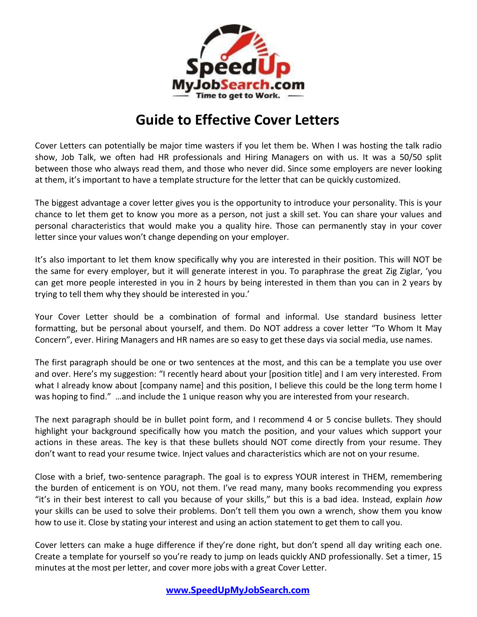

## **Guide to Effective Cover Letters**

Cover Letters can potentially be major time wasters if you let them be. When I was hosting the talk radio show, Job Talk, we often had HR professionals and Hiring Managers on with us. It was a 50/50 split between those who always read them, and those who never did. Since some employers are never looking at them, it's important to have a template structure for the letter that can be quickly customized.

The biggest advantage a cover letter gives you is the opportunity to introduce your personality. This is your chance to let them get to know you more as a person, not just a skill set. You can share your values and personal characteristics that would make you a quality hire. Those can permanently stay in your cover letter since your values won't change depending on your employer.

It's also important to let them know specifically why you are interested in their position. This will NOT be the same for every employer, but it will generate interest in you. To paraphrase the great Zig Ziglar, 'you can get more people interested in you in 2 hours by being interested in them than you can in 2 years by trying to tell them why they should be interested in you.'

Your Cover Letter should be a combination of formal and informal. Use standard business letter formatting, but be personal about yourself, and them. Do NOT address a cover letter "To Whom It May Concern", ever. Hiring Managers and HR names are so easy to get these days via social media, use names.

The first paragraph should be one or two sentences at the most, and this can be a template you use over and over. Here's my suggestion: "I recently heard about your [position title] and I am very interested. From what I already know about [company name] and this position, I believe this could be the long term home I was hoping to find." …and include the 1 unique reason why you are interested from your research.

The next paragraph should be in bullet point form, and I recommend 4 or 5 concise bullets. They should highlight your background specifically how you match the position, and your values which support your actions in these areas. The key is that these bullets should NOT come directly from your resume. They don't want to read your resume twice. Inject values and characteristics which are not on your resume.

Close with a brief, two-sentence paragraph. The goal is to express YOUR interest in THEM, remembering the burden of enticement is on YOU, not them. I've read many, many books recommending you express "it's in their best interest to call you because of your skills," but this is a bad idea. Instead, explain *how* your skills can be used to solve their problems. Don't tell them you own a wrench, show them you know how to use it. Close by stating your interest and using an action statement to get them to call you.

Cover letters can make a huge difference if they're done right, but don't spend all day writing each one. Create a template for yourself so you're ready to jump on leads quickly AND professionally. Set a timer, 15 minutes at the most per letter, and cover more jobs with a great Cover Letter.